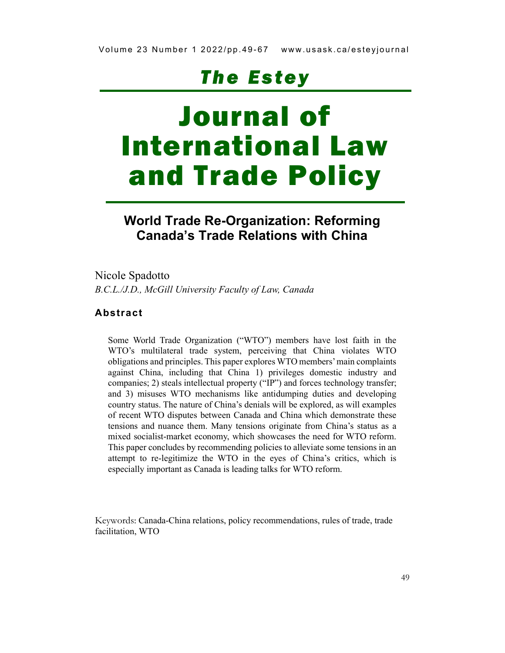# **The Estey**

# Journal of International Law and Trade Policy

# World Trade Re-Organization: Reforming Canada's Trade Relations with China

Nicole Spadotto B.C.L./J.D., McGill University Faculty of Law, Canada

#### Abstract

Some World Trade Organization ("WTO") members have lost faith in the WTO's multilateral trade system, perceiving that China violates WTO obligations and principles. This paper explores WTO members' main complaints against China, including that China 1) privileges domestic industry and companies; 2) steals intellectual property ("IP") and forces technology transfer; and 3) misuses WTO mechanisms like antidumping duties and developing country status. The nature of China's denials will be explored, as will examples of recent WTO disputes between Canada and China which demonstrate these tensions and nuance them. Many tensions originate from China's status as a mixed socialist-market economy, which showcases the need for WTO reform. This paper concludes by recommending policies to alleviate some tensions in an attempt to re-legitimize the WTO in the eyes of China's critics, which is especially important as Canada is leading talks for WTO reform.

Keywords: Canada-China relations, policy recommendations, rules of trade, trade facilitation, WTO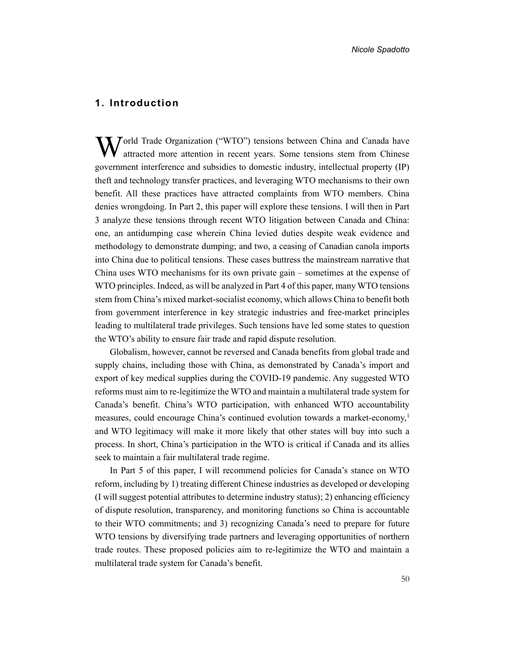#### 1. Introduction

World Trade Organization ("WTO") tensions between China and Canada have attention in recent years. Some tensions stem from Chinese attracted more attention in recent years. Some tensions stem from Chinese government interference and subsidies to domestic industry, intellectual property (IP) theft and technology transfer practices, and leveraging WTO mechanisms to their own benefit. All these practices have attracted complaints from WTO members. China denies wrongdoing. In Part 2, this paper will explore these tensions. I will then in Part 3 analyze these tensions through recent WTO litigation between Canada and China: one, an antidumping case wherein China levied duties despite weak evidence and methodology to demonstrate dumping; and two, a ceasing of Canadian canola imports into China due to political tensions. These cases buttress the mainstream narrative that China uses WTO mechanisms for its own private gain – sometimes at the expense of WTO principles. Indeed, as will be analyzed in Part 4 of this paper, many WTO tensions stem from China's mixed market-socialist economy, which allows China to benefit both from government interference in key strategic industries and free-market principles leading to multilateral trade privileges. Such tensions have led some states to question the WTO's ability to ensure fair trade and rapid dispute resolution.

Globalism, however, cannot be reversed and Canada benefits from global trade and supply chains, including those with China, as demonstrated by Canada's import and export of key medical supplies during the COVID-19 pandemic. Any suggested WTO reforms must aim to re-legitimize the WTO and maintain a multilateral trade system for Canada's benefit. China's WTO participation, with enhanced WTO accountability measures, could encourage China's continued evolution towards a market-economy,<sup>1</sup> and WTO legitimacy will make it more likely that other states will buy into such a process. In short, China's participation in the WTO is critical if Canada and its allies seek to maintain a fair multilateral trade regime.

In Part 5 of this paper, I will recommend policies for Canada's stance on WTO reform, including by 1) treating different Chinese industries as developed or developing (I will suggest potential attributes to determine industry status); 2) enhancing efficiency of dispute resolution, transparency, and monitoring functions so China is accountable to their WTO commitments; and 3) recognizing Canada's need to prepare for future WTO tensions by diversifying trade partners and leveraging opportunities of northern trade routes. These proposed policies aim to re-legitimize the WTO and maintain a multilateral trade system for Canada's benefit.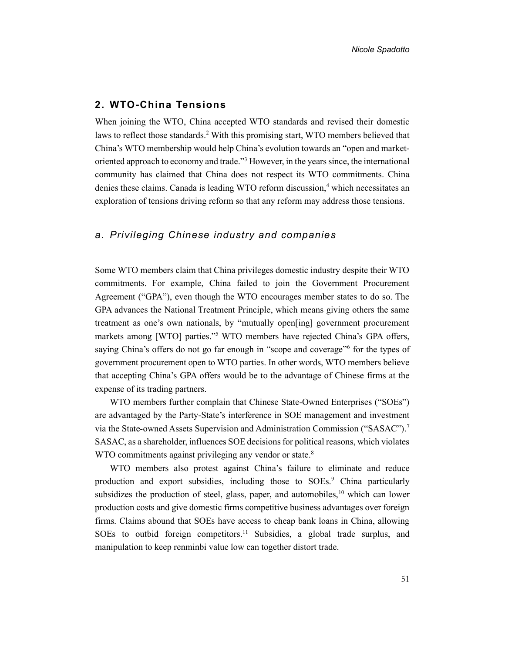#### 2. WTO-China Tensions

When joining the WTO, China accepted WTO standards and revised their domestic laws to reflect those standards.<sup>2</sup> With this promising start, WTO members believed that China's WTO membership would help China's evolution towards an "open and marketoriented approach to economy and trade."<sup>3</sup> However, in the years since, the international community has claimed that China does not respect its WTO commitments. China denies these claims. Canada is leading WTO reform discussion,<sup>4</sup> which necessitates an exploration of tensions driving reform so that any reform may address those tensions.

#### a. Privileging Chinese industry and companies

Some WTO members claim that China privileges domestic industry despite their WTO commitments. For example, China failed to join the Government Procurement Agreement ("GPA"), even though the WTO encourages member states to do so. The GPA advances the National Treatment Principle, which means giving others the same treatment as one's own nationals, by "mutually open[ing] government procurement markets among [WTO] parties."<sup>5</sup> WTO members have rejected China's GPA offers, saying China's offers do not go far enough in "scope and coverage"<sup>6</sup> for the types of government procurement open to WTO parties. In other words, WTO members believe that accepting China's GPA offers would be to the advantage of Chinese firms at the expense of its trading partners.

WTO members further complain that Chinese State-Owned Enterprises ("SOEs") are advantaged by the Party-State's interference in SOE management and investment via the State-owned Assets Supervision and Administration Commission ("SASAC").<sup>7</sup> SASAC, as a shareholder, influences SOE decisions for political reasons, which violates WTO commitments against privileging any vendor or state.<sup>8</sup>

WTO members also protest against China's failure to eliminate and reduce production and export subsidies, including those to SOEs.<sup>9</sup> China particularly subsidizes the production of steel, glass, paper, and automobiles,  $10$  which can lower production costs and give domestic firms competitive business advantages over foreign firms. Claims abound that SOEs have access to cheap bank loans in China, allowing SOEs to outbid foreign competitors.<sup>11</sup> Subsidies, a global trade surplus, and manipulation to keep renminbi value low can together distort trade.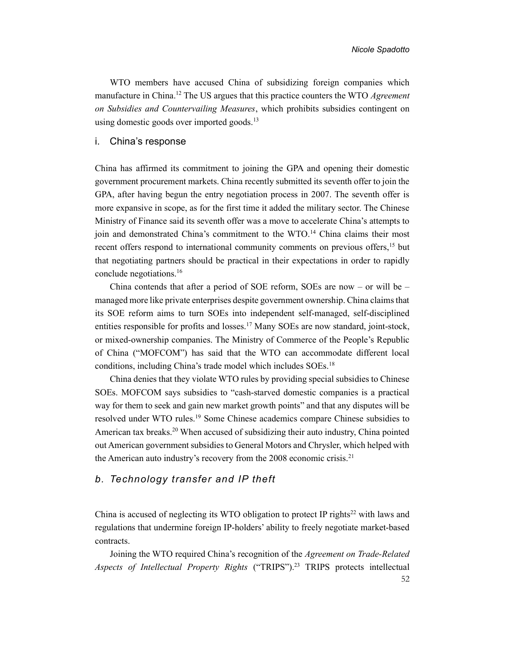WTO members have accused China of subsidizing foreign companies which manufacture in China.<sup>12</sup> The US argues that this practice counters the WTO Agreement on Subsidies and Countervailing Measures, which prohibits subsidies contingent on using domestic goods over imported goods.<sup>13</sup>

#### i. China's response

China has affirmed its commitment to joining the GPA and opening their domestic government procurement markets. China recently submitted its seventh offer to join the GPA, after having begun the entry negotiation process in 2007. The seventh offer is more expansive in scope, as for the first time it added the military sector. The Chinese Ministry of Finance said its seventh offer was a move to accelerate China's attempts to join and demonstrated China's commitment to the WTO.<sup>14</sup> China claims their most recent offers respond to international community comments on previous offers,<sup>15</sup> but that negotiating partners should be practical in their expectations in order to rapidly conclude negotiations.<sup>16</sup>

China contends that after a period of SOE reform, SOEs are now – or will be  $$ managed more like private enterprises despite government ownership. China claims that its SOE reform aims to turn SOEs into independent self-managed, self-disciplined entities responsible for profits and losses.<sup>17</sup> Many SOEs are now standard, joint-stock, or mixed-ownership companies. The Ministry of Commerce of the People's Republic of China ("MOFCOM") has said that the WTO can accommodate different local conditions, including China's trade model which includes SOEs.<sup>18</sup>

China denies that they violate WTO rules by providing special subsidies to Chinese SOEs. MOFCOM says subsidies to "cash-starved domestic companies is a practical way for them to seek and gain new market growth points" and that any disputes will be resolved under WTO rules.<sup>19</sup> Some Chinese academics compare Chinese subsidies to American tax breaks.<sup>20</sup> When accused of subsidizing their auto industry, China pointed out American government subsidies to General Motors and Chrysler, which helped with the American auto industry's recovery from the 2008 economic crisis.<sup>21</sup>

#### b. Technology transfer and IP theft

China is accused of neglecting its WTO obligation to protect IP rights<sup>22</sup> with laws and regulations that undermine foreign IP-holders' ability to freely negotiate market-based contracts.

52 Joining the WTO required China's recognition of the Agreement on Trade-Related Aspects of Intellectual Property Rights ("TRIPS").<sup>23</sup> TRIPS protects intellectual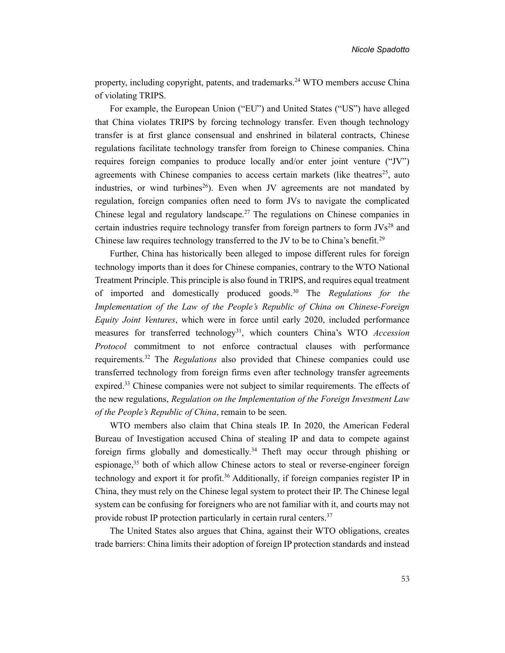property, including copyright, patents, and trademarks.<sup>24</sup> WTO members accuse China of violating TRIPS.

For example, the European Union ("EU") and United States ("US") have alleged that China violates TRIPS by forcing technology transfer. Even though technology transfer is at first glance consensual and enshrined in bilateral contracts, Chinese regulations facilitate technology transfer from foreign to Chinese companies. China requires foreign companies to produce locally and/or enter joint venture ("JV") agreements with Chinese companies to access certain markets (like theatres<sup>25</sup>, auto industries, or wind turbines<sup>26</sup>). Even when JV agreements are not mandated by regulation, foreign companies often need to form JVs to navigate the complicated Chinese legal and regulatory landscape.<sup>27</sup> The regulations on Chinese companies in certain industries require technology transfer from foreign partners to form  $JVs^{28}$  and Chinese law requires technology transferred to the JV to be to China's benefit.<sup>29</sup>

Further, China has historically been alleged to impose different rules for foreign technology imports than it does for Chinese companies, contrary to the WTO National Treatment Principle. This principle is also found in TRIPS, and requires equal treatment of imported and domestically produced goods.<sup>30</sup> The Regulations for the Implementation of the Law of the People's Republic of China on Chinese-Foreign Equity Joint Ventures, which were in force until early 2020, included performance measures for transferred technology<sup>31</sup>, which counters China's WTO Accession Protocol commitment to not enforce contractual clauses with performance requirements.<sup>32</sup> The Regulations also provided that Chinese companies could use transferred technology from foreign firms even after technology transfer agreements expired.<sup>33</sup> Chinese companies were not subject to similar requirements. The effects of the new regulations, Regulation on the Implementation of the Foreign Investment Law of the People's Republic of China, remain to be seen.

WTO members also claim that China steals IP. In 2020, the American Federal Bureau of Investigation accused China of stealing IP and data to compete against foreign firms globally and domestically.<sup>34</sup> Theft may occur through phishing or espionage, $35$  both of which allow Chinese actors to steal or reverse-engineer foreign technology and export it for profit.<sup>36</sup> Additionally, if foreign companies register IP in China, they must rely on the Chinese legal system to protect their IP. The Chinese legal system can be confusing for foreigners who are not familiar with it, and courts may not provide robust IP protection particularly in certain rural centers.<sup>37</sup>

The United States also argues that China, against their WTO obligations, creates trade barriers: China limits their adoption of foreign IP protection standards and instead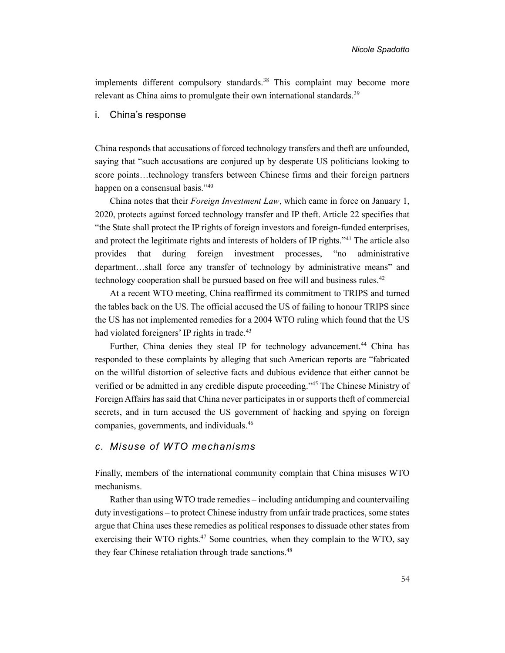implements different compulsory standards.<sup>38</sup> This complaint may become more relevant as China aims to promulgate their own international standards.<sup>39</sup>

#### i. China's response

China responds that accusations of forced technology transfers and theft are unfounded, saying that "such accusations are conjured up by desperate US politicians looking to score points…technology transfers between Chinese firms and their foreign partners happen on a consensual basis."<sup>40</sup>

China notes that their Foreign Investment Law, which came in force on January 1, 2020, protects against forced technology transfer and IP theft. Article 22 specifies that "the State shall protect the IP rights of foreign investors and foreign-funded enterprises, and protect the legitimate rights and interests of holders of IP rights."<sup>41</sup> The article also provides that during foreign investment processes, "no administrative department…shall force any transfer of technology by administrative means" and technology cooperation shall be pursued based on free will and business rules.<sup>42</sup>

At a recent WTO meeting, China reaffirmed its commitment to TRIPS and turned the tables back on the US. The official accused the US of failing to honour TRIPS since the US has not implemented remedies for a 2004 WTO ruling which found that the US had violated foreigners' IP rights in trade.<sup>43</sup>

Further, China denies they steal IP for technology advancement.<sup>44</sup> China has responded to these complaints by alleging that such American reports are "fabricated on the willful distortion of selective facts and dubious evidence that either cannot be verified or be admitted in any credible dispute proceeding."<sup>45</sup> The Chinese Ministry of Foreign Affairs has said that China never participates in or supports theft of commercial secrets, and in turn accused the US government of hacking and spying on foreign companies, governments, and individuals.<sup>46</sup>

#### c. Misuse of WTO mechanisms

Finally, members of the international community complain that China misuses WTO mechanisms.

Rather than using WTO trade remedies – including antidumping and countervailing duty investigations – to protect Chinese industry from unfair trade practices, some states argue that China uses these remedies as political responses to dissuade other states from exercising their WTO rights.<sup>47</sup> Some countries, when they complain to the WTO, say they fear Chinese retaliation through trade sanctions.<sup>48</sup>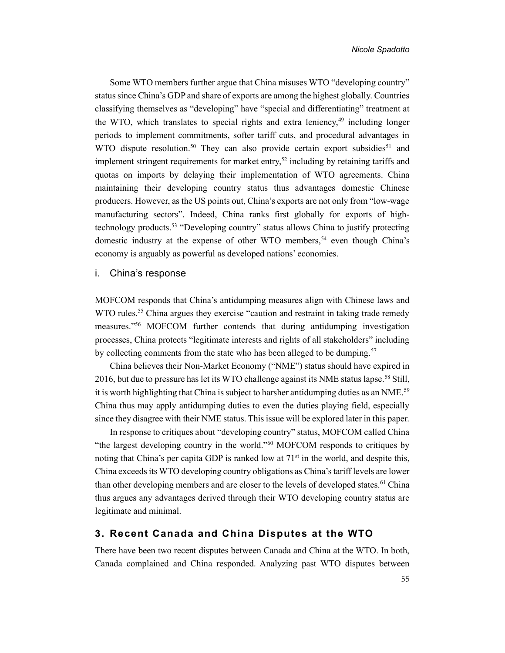Some WTO members further argue that China misuses WTO "developing country" status since China's GDP and share of exports are among the highest globally. Countries classifying themselves as "developing" have "special and differentiating" treatment at the WTO, which translates to special rights and extra leniency, $49$  including longer periods to implement commitments, softer tariff cuts, and procedural advantages in WTO dispute resolution.<sup>50</sup> They can also provide certain export subsidies<sup>51</sup> and implement stringent requirements for market entry, $52$  including by retaining tariffs and quotas on imports by delaying their implementation of WTO agreements. China maintaining their developing country status thus advantages domestic Chinese producers. However, as the US points out, China's exports are not only from "low-wage manufacturing sectors". Indeed, China ranks first globally for exports of hightechnology products.<sup>53</sup> "Developing country" status allows China to justify protecting domestic industry at the expense of other WTO members,<sup>54</sup> even though China's economy is arguably as powerful as developed nations' economies.

#### i. China's response

MOFCOM responds that China's antidumping measures align with Chinese laws and WTO rules.<sup>55</sup> China argues they exercise "caution and restraint in taking trade remedy measures."<sup>56</sup> MOFCOM further contends that during antidumping investigation processes, China protects "legitimate interests and rights of all stakeholders" including by collecting comments from the state who has been alleged to be dumping.<sup>57</sup>

China believes their Non-Market Economy ("NME") status should have expired in 2016, but due to pressure has let its WTO challenge against its NME status lapse.<sup>58</sup> Still, it is worth highlighting that China is subject to harsher antidumping duties as an NME.<sup>59</sup> China thus may apply antidumping duties to even the duties playing field, especially since they disagree with their NME status. This issue will be explored later in this paper.

In response to critiques about "developing country" status, MOFCOM called China "the largest developing country in the world."<sup>60</sup> MOFCOM responds to critiques by noting that China's per capita GDP is ranked low at  $71<sup>st</sup>$  in the world, and despite this, China exceeds its WTO developing country obligations as China's tariff levels are lower than other developing members and are closer to the levels of developed states.<sup>61</sup> China thus argues any advantages derived through their WTO developing country status are legitimate and minimal.

#### 3. Recent Canada and China Disputes at the WTO

There have been two recent disputes between Canada and China at the WTO. In both, Canada complained and China responded. Analyzing past WTO disputes between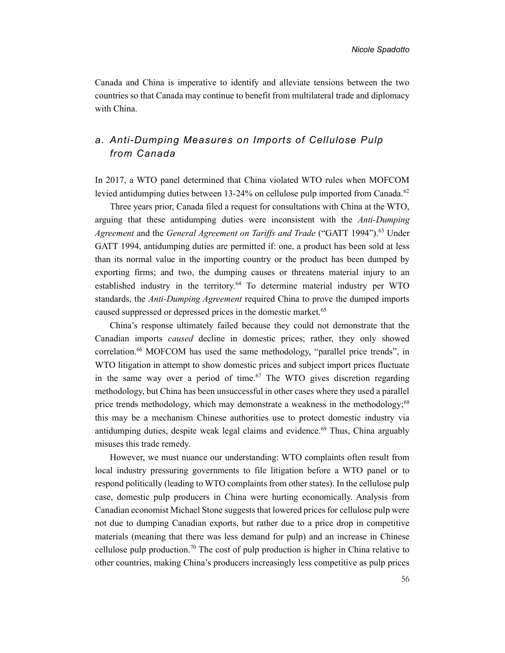Canada and China is imperative to identify and alleviate tensions between the two countries so that Canada may continue to benefit from multilateral trade and diplomacy with China.

# a. Anti-Dumping Measures on Imports of Cellulose Pulp from Canada

In 2017, a WTO panel determined that China violated WTO rules when MOFCOM levied antidumping duties between 13-24% on cellulose pulp imported from Canada.<sup>62</sup>

Three years prior, Canada filed a request for consultations with China at the WTO, arguing that these antidumping duties were inconsistent with the Anti-Dumping Agreement and the General Agreement on Tariffs and Trade ("GATT 1994").<sup>63</sup> Under GATT 1994, antidumping duties are permitted if: one, a product has been sold at less than its normal value in the importing country or the product has been dumped by exporting firms; and two, the dumping causes or threatens material injury to an established industry in the territory.<sup>64</sup> To determine material industry per WTO standards, the Anti-Dumping Agreement required China to prove the dumped imports caused suppressed or depressed prices in the domestic market.<sup>65</sup>

China's response ultimately failed because they could not demonstrate that the Canadian imports caused decline in domestic prices; rather, they only showed correlation.<sup>66</sup> MOFCOM has used the same methodology, "parallel price trends", in WTO litigation in attempt to show domestic prices and subject import prices fluctuate in the same way over a period of time.<sup>67</sup> The WTO gives discretion regarding methodology, but China has been unsuccessful in other cases where they used a parallel price trends methodology, which may demonstrate a weakness in the methodology;<sup>68</sup> this may be a mechanism Chinese authorities use to protect domestic industry via antidumping duties, despite weak legal claims and evidence.<sup>69</sup> Thus, China arguably misuses this trade remedy.

However, we must nuance our understanding: WTO complaints often result from local industry pressuring governments to file litigation before a WTO panel or to respond politically (leading to WTO complaints from other states). In the cellulose pulp case, domestic pulp producers in China were hurting economically. Analysis from Canadian economist Michael Stone suggests that lowered prices for cellulose pulp were not due to dumping Canadian exports, but rather due to a price drop in competitive materials (meaning that there was less demand for pulp) and an increase in Chinese cellulose pulp production.<sup>70</sup> The cost of pulp production is higher in China relative to other countries, making China's producers increasingly less competitive as pulp prices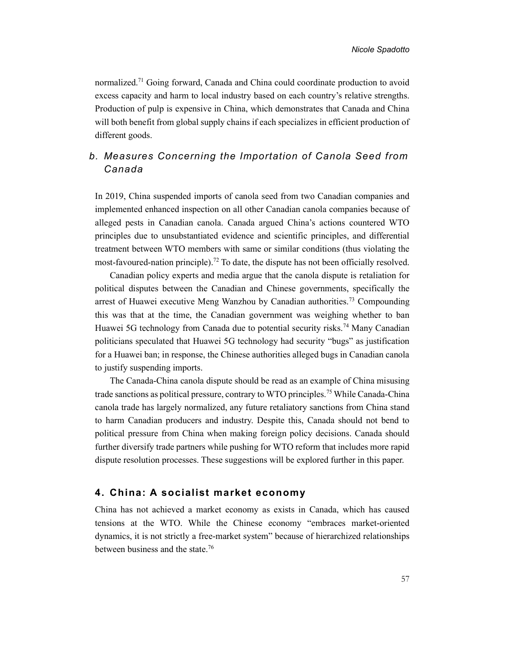normalized.<sup>71</sup> Going forward, Canada and China could coordinate production to avoid excess capacity and harm to local industry based on each country's relative strengths. Production of pulp is expensive in China, which demonstrates that Canada and China will both benefit from global supply chains if each specializes in efficient production of different goods.

# b. Measures Concerning the Importation of Canola Seed from Canada

In 2019, China suspended imports of canola seed from two Canadian companies and implemented enhanced inspection on all other Canadian canola companies because of alleged pests in Canadian canola. Canada argued China's actions countered WTO principles due to unsubstantiated evidence and scientific principles, and differential treatment between WTO members with same or similar conditions (thus violating the most-favoured-nation principle).<sup>72</sup> To date, the dispute has not been officially resolved.

Canadian policy experts and media argue that the canola dispute is retaliation for political disputes between the Canadian and Chinese governments, specifically the arrest of Huawei executive Meng Wanzhou by Canadian authorities.<sup>73</sup> Compounding this was that at the time, the Canadian government was weighing whether to ban Huawei 5G technology from Canada due to potential security risks.<sup>74</sup> Many Canadian politicians speculated that Huawei 5G technology had security "bugs" as justification for a Huawei ban; in response, the Chinese authorities alleged bugs in Canadian canola to justify suspending imports.

The Canada-China canola dispute should be read as an example of China misusing trade sanctions as political pressure, contrary to WTO principles.<sup>75</sup> While Canada-China canola trade has largely normalized, any future retaliatory sanctions from China stand to harm Canadian producers and industry. Despite this, Canada should not bend to political pressure from China when making foreign policy decisions. Canada should further diversify trade partners while pushing for WTO reform that includes more rapid dispute resolution processes. These suggestions will be explored further in this paper.

#### 4. China: A socialist market economy

China has not achieved a market economy as exists in Canada, which has caused tensions at the WTO. While the Chinese economy "embraces market-oriented dynamics, it is not strictly a free-market system" because of hierarchized relationships between business and the state.76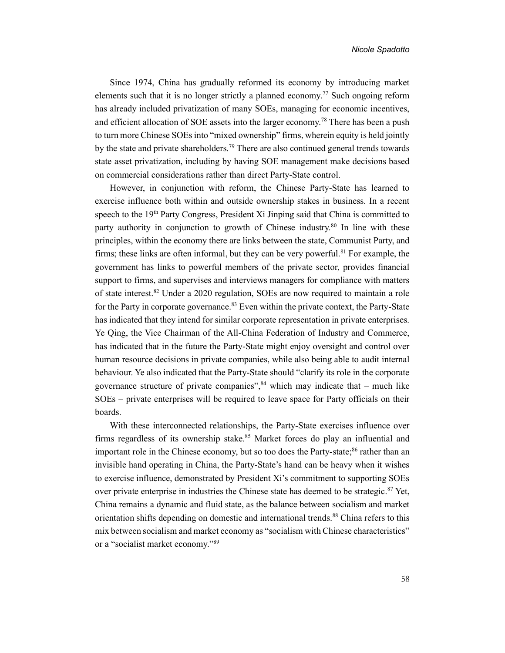Since 1974, China has gradually reformed its economy by introducing market elements such that it is no longer strictly a planned economy.<sup>77</sup> Such ongoing reform has already included privatization of many SOEs, managing for economic incentives, and efficient allocation of SOE assets into the larger economy.<sup>78</sup> There has been a push to turn more Chinese SOEs into "mixed ownership" firms, wherein equity is held jointly by the state and private shareholders.<sup>79</sup> There are also continued general trends towards state asset privatization, including by having SOE management make decisions based on commercial considerations rather than direct Party-State control.

However, in conjunction with reform, the Chinese Party-State has learned to exercise influence both within and outside ownership stakes in business. In a recent speech to the 19<sup>th</sup> Party Congress, President Xi Jinping said that China is committed to party authority in conjunction to growth of Chinese industry.<sup>80</sup> In line with these principles, within the economy there are links between the state, Communist Party, and firms; these links are often informal, but they can be very powerful.<sup>81</sup> For example, the government has links to powerful members of the private sector, provides financial support to firms, and supervises and interviews managers for compliance with matters of state interest.<sup>82</sup> Under a 2020 regulation, SOEs are now required to maintain a role for the Party in corporate governance.<sup>83</sup> Even within the private context, the Party-State has indicated that they intend for similar corporate representation in private enterprises. Ye Qing, the Vice Chairman of the All-China Federation of Industry and Commerce, has indicated that in the future the Party-State might enjoy oversight and control over human resource decisions in private companies, while also being able to audit internal behaviour. Ye also indicated that the Party-State should "clarify its role in the corporate governance structure of private companies", $84$  which may indicate that – much like SOEs – private enterprises will be required to leave space for Party officials on their boards.

With these interconnected relationships, the Party-State exercises influence over firms regardless of its ownership stake.<sup>85</sup> Market forces do play an influential and important role in the Chinese economy, but so too does the Party-state;<sup>86</sup> rather than an invisible hand operating in China, the Party-State's hand can be heavy when it wishes to exercise influence, demonstrated by President Xi's commitment to supporting SOEs over private enterprise in industries the Chinese state has deemed to be strategic. $87$  Yet, China remains a dynamic and fluid state, as the balance between socialism and market orientation shifts depending on domestic and international trends.<sup>88</sup> China refers to this mix between socialism and market economy as "socialism with Chinese characteristics" or a "socialist market economy."89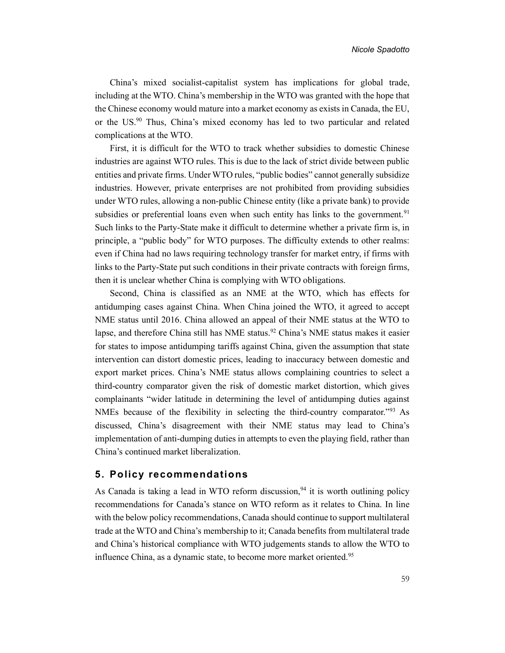China's mixed socialist-capitalist system has implications for global trade, including at the WTO. China's membership in the WTO was granted with the hope that the Chinese economy would mature into a market economy as exists in Canada, the EU, or the US.<sup>90</sup> Thus, China's mixed economy has led to two particular and related complications at the WTO.

First, it is difficult for the WTO to track whether subsidies to domestic Chinese industries are against WTO rules. This is due to the lack of strict divide between public entities and private firms. Under WTO rules, "public bodies" cannot generally subsidize industries. However, private enterprises are not prohibited from providing subsidies under WTO rules, allowing a non-public Chinese entity (like a private bank) to provide subsidies or preferential loans even when such entity has links to the government.<sup>91</sup> Such links to the Party-State make it difficult to determine whether a private firm is, in principle, a "public body" for WTO purposes. The difficulty extends to other realms: even if China had no laws requiring technology transfer for market entry, if firms with links to the Party-State put such conditions in their private contracts with foreign firms, then it is unclear whether China is complying with WTO obligations.

Second, China is classified as an NME at the WTO, which has effects for antidumping cases against China. When China joined the WTO, it agreed to accept NME status until 2016. China allowed an appeal of their NME status at the WTO to lapse, and therefore China still has NME status.<sup>92</sup> China's NME status makes it easier for states to impose antidumping tariffs against China, given the assumption that state intervention can distort domestic prices, leading to inaccuracy between domestic and export market prices. China's NME status allows complaining countries to select a third-country comparator given the risk of domestic market distortion, which gives complainants "wider latitude in determining the level of antidumping duties against NMEs because of the flexibility in selecting the third-country comparator."<sup>93</sup> As discussed, China's disagreement with their NME status may lead to China's implementation of anti-dumping duties in attempts to even the playing field, rather than China's continued market liberalization.

#### 5. Policy recommendations

As Canada is taking a lead in WTO reform discussion,  $94$  it is worth outlining policy recommendations for Canada's stance on WTO reform as it relates to China. In line with the below policy recommendations, Canada should continue to support multilateral trade at the WTO and China's membership to it; Canada benefits from multilateral trade and China's historical compliance with WTO judgements stands to allow the WTO to influence China, as a dynamic state, to become more market oriented.<sup>95</sup>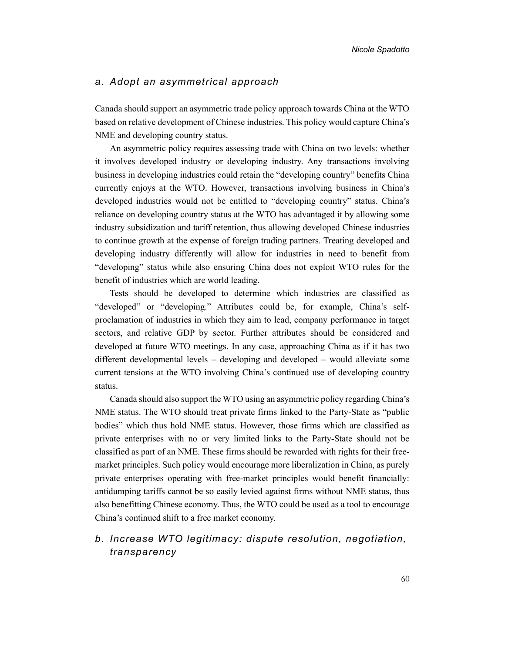#### a. Adopt an asymmetrical approach

Canada should support an asymmetric trade policy approach towards China at the WTO based on relative development of Chinese industries. This policy would capture China's NME and developing country status.

An asymmetric policy requires assessing trade with China on two levels: whether it involves developed industry or developing industry. Any transactions involving business in developing industries could retain the "developing country" benefits China currently enjoys at the WTO. However, transactions involving business in China's developed industries would not be entitled to "developing country" status. China's reliance on developing country status at the WTO has advantaged it by allowing some industry subsidization and tariff retention, thus allowing developed Chinese industries to continue growth at the expense of foreign trading partners. Treating developed and developing industry differently will allow for industries in need to benefit from "developing" status while also ensuring China does not exploit WTO rules for the benefit of industries which are world leading.

Tests should be developed to determine which industries are classified as "developed" or "developing." Attributes could be, for example, China's selfproclamation of industries in which they aim to lead, company performance in target sectors, and relative GDP by sector. Further attributes should be considered and developed at future WTO meetings. In any case, approaching China as if it has two different developmental levels – developing and developed – would alleviate some current tensions at the WTO involving China's continued use of developing country status.

Canada should also support the WTO using an asymmetric policy regarding China's NME status. The WTO should treat private firms linked to the Party-State as "public bodies" which thus hold NME status. However, those firms which are classified as private enterprises with no or very limited links to the Party-State should not be classified as part of an NME. These firms should be rewarded with rights for their freemarket principles. Such policy would encourage more liberalization in China, as purely private enterprises operating with free-market principles would benefit financially: antidumping tariffs cannot be so easily levied against firms without NME status, thus also benefitting Chinese economy. Thus, the WTO could be used as a tool to encourage China's continued shift to a free market economy.

# b. Increase WTO legitimacy: dispute resolution, negotiation, transparency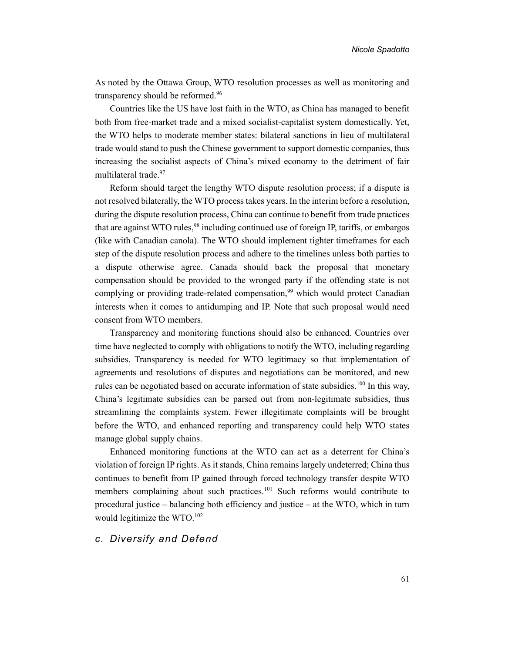As noted by the Ottawa Group, WTO resolution processes as well as monitoring and transparency should be reformed.<sup>96</sup>

Countries like the US have lost faith in the WTO, as China has managed to benefit both from free-market trade and a mixed socialist-capitalist system domestically. Yet, the WTO helps to moderate member states: bilateral sanctions in lieu of multilateral trade would stand to push the Chinese government to support domestic companies, thus increasing the socialist aspects of China's mixed economy to the detriment of fair multilateral trade.<sup>97</sup>

Reform should target the lengthy WTO dispute resolution process; if a dispute is not resolved bilaterally, the WTO process takes years. In the interim before a resolution, during the dispute resolution process, China can continue to benefit from trade practices that are against WTO rules,  $98$  including continued use of foreign IP, tariffs, or embargos (like with Canadian canola). The WTO should implement tighter timeframes for each step of the dispute resolution process and adhere to the timelines unless both parties to a dispute otherwise agree. Canada should back the proposal that monetary compensation should be provided to the wronged party if the offending state is not complying or providing trade-related compensation,<sup>99</sup> which would protect Canadian interests when it comes to antidumping and IP. Note that such proposal would need consent from WTO members.

Transparency and monitoring functions should also be enhanced. Countries over time have neglected to comply with obligations to notify the WTO, including regarding subsidies. Transparency is needed for WTO legitimacy so that implementation of agreements and resolutions of disputes and negotiations can be monitored, and new rules can be negotiated based on accurate information of state subsidies.<sup>100</sup> In this way, China's legitimate subsidies can be parsed out from non-legitimate subsidies, thus streamlining the complaints system. Fewer illegitimate complaints will be brought before the WTO, and enhanced reporting and transparency could help WTO states manage global supply chains.

Enhanced monitoring functions at the WTO can act as a deterrent for China's violation of foreign IP rights. As it stands, China remains largely undeterred; China thus continues to benefit from IP gained through forced technology transfer despite WTO members complaining about such practices.<sup>101</sup> Such reforms would contribute to procedural justice – balancing both efficiency and justice – at the WTO, which in turn would legitimize the WTO.<sup>102</sup>

#### c. Diversify and Defend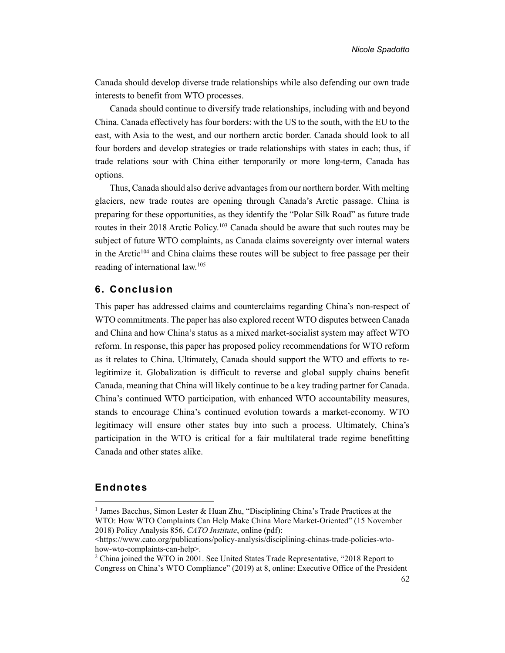Canada should develop diverse trade relationships while also defending our own trade interests to benefit from WTO processes.

Canada should continue to diversify trade relationships, including with and beyond China. Canada effectively has four borders: with the US to the south, with the EU to the east, with Asia to the west, and our northern arctic border. Canada should look to all four borders and develop strategies or trade relationships with states in each; thus, if trade relations sour with China either temporarily or more long-term, Canada has options.

Thus, Canada should also derive advantages from our northern border. With melting glaciers, new trade routes are opening through Canada's Arctic passage. China is preparing for these opportunities, as they identify the "Polar Silk Road" as future trade routes in their 2018 Arctic Policy.<sup>103</sup> Canada should be aware that such routes may be subject of future WTO complaints, as Canada claims sovereignty over internal waters in the Arctic<sup>104</sup> and China claims these routes will be subject to free passage per their reading of international law.<sup>105</sup>

#### 6. Conclusion

This paper has addressed claims and counterclaims regarding China's non-respect of WTO commitments. The paper has also explored recent WTO disputes between Canada and China and how China's status as a mixed market-socialist system may affect WTO reform. In response, this paper has proposed policy recommendations for WTO reform as it relates to China. Ultimately, Canada should support the WTO and efforts to relegitimize it. Globalization is difficult to reverse and global supply chains benefit Canada, meaning that China will likely continue to be a key trading partner for Canada. China's continued WTO participation, with enhanced WTO accountability measures, stands to encourage China's continued evolution towards a market-economy. WTO legitimacy will ensure other states buy into such a process. Ultimately, China's participation in the WTO is critical for a fair multilateral trade regime benefitting Canada and other states alike.

#### Endnotes

<sup>&</sup>lt;sup>1</sup> James Bacchus, Simon Lester & Huan Zhu, "Disciplining China's Trade Practices at the WTO: How WTO Complaints Can Help Make China More Market-Oriented" (15 November 2018) Policy Analysis 856, CATO Institute, online (pdf):

<sup>&</sup>lt;https://www.cato.org/publications/policy-analysis/disciplining-chinas-trade-policies-wtohow-wto-complaints-can-help>.

<sup>&</sup>lt;sup>2</sup> China joined the WTO in 2001. See United States Trade Representative, "2018 Report to Congress on China's WTO Compliance" (2019) at 8, online: Executive Office of the President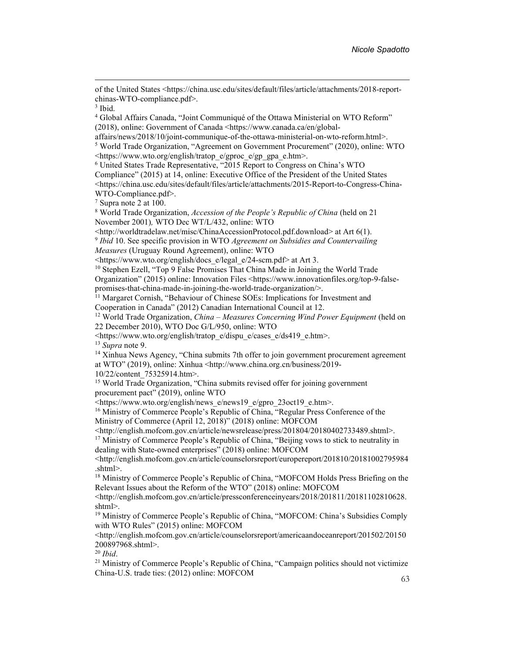of the United States <https://china.usc.edu/sites/default/files/article/attachments/2018-reportchinas-WTO-compliance.pdf>.

3 Ibid.

<sup>4</sup> Global Affairs Canada, "Joint Communiqué of the Ottawa Ministerial on WTO Reform" (2018), online: Government of Canada <https://www.canada.ca/en/global-

affairs/news/2018/10/joint-communique-of-the-ottawa-ministerial-on-wto-reform.html>.

<sup>5</sup> World Trade Organization, "Agreement on Government Procurement" (2020), online: WTO <https://www.wto.org/english/tratop\_e/gproc\_e/gp\_gpa\_e.htm>.

6 United States Trade Representative, "2015 Report to Congress on China's WTO Compliance" (2015) at 14, online: Executive Office of the President of the United States <https://china.usc.edu/sites/default/files/article/attachments/2015-Report-to-Congress-China-WTO-Compliance.pdf>.

7 Supra note 2 at 100.

<sup>8</sup> World Trade Organization, Accession of the People's Republic of China (held on 21 November 2001), WTO Dec WT/L/432, online: WTO

<http://worldtradelaw.net/misc/ChinaAccessionProtocol.pdf.download> at Art 6(1).

 $9$  Ibid 10. See specific provision in WTO Agreement on Subsidies and Countervailing

Measures (Uruguay Round Agreement), online: WTO

<https://www.wto.org/english/docs\_e/legal\_e/24-scm.pdf> at Art 3.

<sup>10</sup> Stephen Ezell, "Top 9 False Promises That China Made in Joining the World Trade Organization" (2015) online: Innovation Files <https://www.innovationfiles.org/top-9-falsepromises-that-china-made-in-joining-the-world-trade-organization/>.

<sup>11</sup> Margaret Cornish, "Behaviour of Chinese SOEs: Implications for Investment and

Cooperation in Canada" (2012) Canadian International Council at 12.

<sup>12</sup> World Trade Organization, *China – Measures Concerning Wind Power Equipment* (held on 22 December 2010), WTO Doc G/L/950, online: WTO

<https://www.wto.org/english/tratop\_e/dispu\_e/cases\_e/ds419\_e.htm>. <sup>13</sup> Supra note 9.

<sup>14</sup> Xinhua News Agency, "China submits 7th offer to join government procurement agreement at WTO" (2019), online: Xinhua <http://www.china.org.cn/business/2019-

10/22/content\_75325914.htm>.

<sup>15</sup> World Trade Organization, "China submits revised offer for joining government procurement pact" (2019), online WTO

<https://www.wto.org/english/news\_e/news19\_e/gpro\_23oct19\_e.htm>.

<sup>16</sup> Ministry of Commerce People's Republic of China, "Regular Press Conference of the Ministry of Commerce (April 12, 2018)" (2018) online: MOFCOM

<http://english.mofcom.gov.cn/article/newsrelease/press/201804/20180402733489.shtml>.

<sup>17</sup> Ministry of Commerce People's Republic of China, "Beijing vows to stick to neutrality in dealing with State-owned enterprises" (2018) online: MOFCOM

<http://english.mofcom.gov.cn/article/counselorsreport/europereport/201810/20181002795984 .shtml>.

<sup>18</sup> Ministry of Commerce People's Republic of China, "MOFCOM Holds Press Briefing on the Relevant Issues about the Reform of the WTO" (2018) online: MOFCOM

<http://english.mofcom.gov.cn/article/pressconferenceinyears/2018/201811/20181102810628. shtml>.

<sup>19</sup> Ministry of Commerce People's Republic of China, "MOFCOM: China's Subsidies Comply with WTO Rules" (2015) online: MOFCOM

<http://english.mofcom.gov.cn/article/counselorsreport/americaandoceanreport/201502/20150 200897968.shtml>.

 $20$  Ibid.

<sup>21</sup> Ministry of Commerce People's Republic of China, "Campaign politics should not victimize China-U.S. trade ties: (2012) online: MOFCOM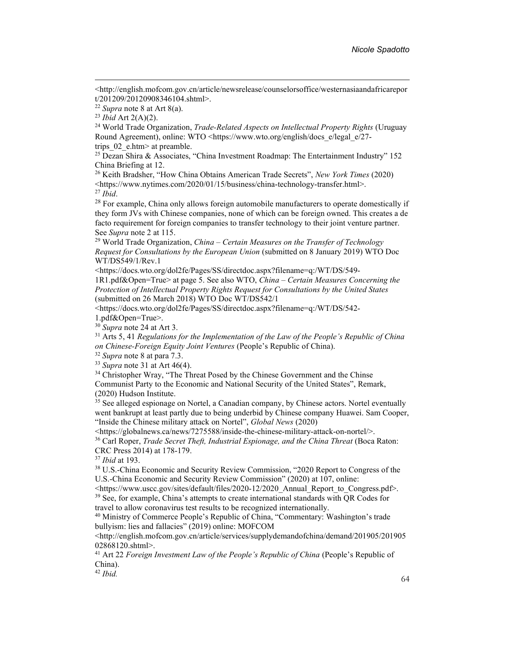<sup>24</sup> World Trade Organization, Trade-Related Aspects on Intellectual Property Rights (Uruguay Round Agreement), online: WTO <https://www.wto.org/english/docs\_e/legal\_e/27trips  $02$  e.htm> at preamble.

<sup>25</sup> Dezan Shira & Associates, "China Investment Roadmap: The Entertainment Industry" 152 China Briefing at 12.

<sup>26</sup> Keith Bradsher, "How China Obtains American Trade Secrets", *New York Times* (2020) <https://www.nytimes.com/2020/01/15/business/china-technology-transfer.html>.  $27$  Ibid.

 $28$  For example, China only allows foreign automobile manufacturers to operate domestically if they form JVs with Chinese companies, none of which can be foreign owned. This creates a de facto requirement for foreign companies to transfer technology to their joint venture partner. See Supra note 2 at 115.

<sup>29</sup> World Trade Organization, *China – Certain Measures on the Transfer of Technology* Request for Consultations by the European Union (submitted on 8 January 2019) WTO Doc WT/DS549/1/Rev.1

<https://docs.wto.org/dol2fe/Pages/SS/directdoc.aspx?filename=q:/WT/DS/549-

1R1.pdf&Open=True> at page 5. See also WTO, China – Certain Measures Concerning the Protection of Intellectual Property Rights Request for Consultations by the United States (submitted on 26 March 2018) WTO Doc WT/DS542/1

<https://docs.wto.org/dol2fe/Pages/SS/directdoc.aspx?filename=q:/WT/DS/542- 1.pdf&Open=True>.

 $30$  Supra note 24 at Art 3.

 $31$  Arts 5, 41 Regulations for the Implementation of the Law of the People's Republic of China on Chinese-Foreign Equity Joint Ventures (People's Republic of China).

 $32$  *Supra* note 8 at para 7.3.

 $33$  Supra note 31 at Art 46(4).

<sup>34</sup> Christopher Wray, "The Threat Posed by the Chinese Government and the Chinse Communist Party to the Economic and National Security of the United States", Remark, (2020) Hudson Institute.

<sup>35</sup> See alleged espionage on Nortel, a Canadian company, by Chinese actors. Nortel eventually went bankrupt at least partly due to being underbid by Chinese company Huawei. Sam Cooper, "Inside the Chinese military attack on Nortel", Global News (2020)

<https://globalnews.ca/news/7275588/inside-the-chinese-military-attack-on-nortel/>.

<sup>36</sup> Carl Roper, *Trade Secret Theft, Industrial Espionage, and the China Threat* (Boca Raton: CRC Press 2014) at 178-179.

<sup>37</sup> Ibid at 193.

<sup>38</sup> U.S.-China Economic and Security Review Commission, "2020 Report to Congress of the U.S.-China Economic and Security Review Commission" (2020) at 107, online:

<https://www.uscc.gov/sites/default/files/2020-12/2020\_Annual\_Report\_to\_Congress.pdf>. <sup>39</sup> See, for example, China's attempts to create international standards with QR Codes for travel to allow coronavirus test results to be recognized internationally.

<sup>40</sup> Ministry of Commerce People's Republic of China, "Commentary: Washington's trade bullyism: lies and fallacies" (2019) online: MOFCOM

<http://english.mofcom.gov.cn/article/services/supplydemandofchina/demand/201905/201905 02868120.shtml>.

<sup>41</sup> Art 22 Foreign Investment Law of the People's Republic of China (People's Republic of China).

 $42$  Ibid.

<sup>&</sup>lt;http://english.mofcom.gov.cn/article/newsrelease/counselorsoffice/westernasiaandafricarepor t/201209/20120908346104.shtml>.

<sup>&</sup>lt;sup>22</sup> Supra note 8 at Art 8(a).

 $23$  *Ibid* Art 2(A)(2).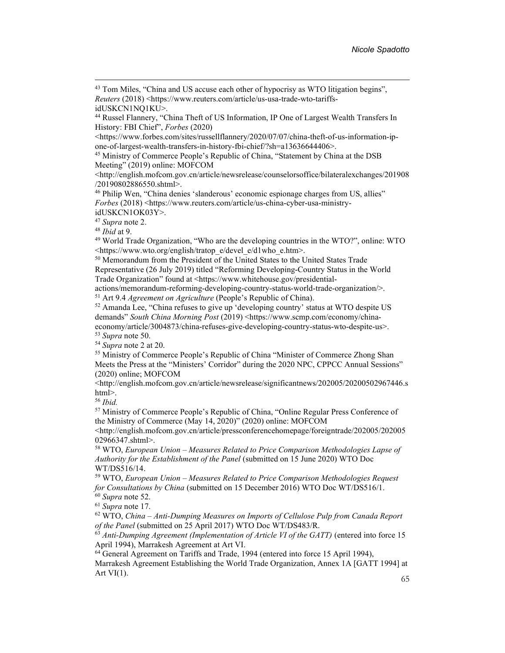<sup>43</sup> Tom Miles, "China and US accuse each other of hypocrisy as WTO litigation begins", Reuters (2018) <https://www.reuters.com/article/us-usa-trade-wto-tariffs-

<https://www.forbes.com/sites/russellflannery/2020/07/07/china-theft-of-us-information-ipone-of-largest-wealth-transfers-in-history-fbi-chief/?sh=a13636644406>.

<sup>45</sup> Ministry of Commerce People's Republic of China, "Statement by China at the DSB Meeting" (2019) online: MOFCOM

<http://english.mofcom.gov.cn/article/newsrelease/counselorsoffice/bilateralexchanges/201908 /20190802886550.shtml>.

<sup>46</sup> Philip Wen, "China denies 'slanderous' economic espionage charges from US, allies" Forbes (2018) <https://www.reuters.com/article/us-china-cyber-usa-ministryidUSKCN1OK03Y>.

<sup>47</sup> Supra note 2.

 $48$  *Ibid* at 9.

<sup>49</sup> World Trade Organization, "Who are the developing countries in the WTO?", online: WTO <https://www.wto.org/english/tratop\_e/devel\_e/d1who\_e.htm>.

<sup>50</sup> Memorandum from the President of the United States to the United States Trade Representative (26 July 2019) titled "Reforming Developing-Country Status in the World Trade Organization" found at <https://www.whitehouse.gov/presidential-

actions/memorandum-reforming-developing-country-status-world-trade-organization/>. <sup>51</sup> Art 9.4 *Agreement on Agriculture* (People's Republic of China).

<sup>52</sup> Amanda Lee, "China refuses to give up 'developing country' status at WTO despite US demands" South China Morning Post (2019) <https://www.scmp.com/economy/chinaeconomy/article/3004873/china-refuses-give-developing-country-status-wto-despite-us>. <sup>53</sup> Supra note 50.

<sup>54</sup> Supra note 2 at 20.

<sup>55</sup> Ministry of Commerce People's Republic of China "Minister of Commerce Zhong Shan Meets the Press at the "Ministers' Corridor" during the 2020 NPC, CPPCC Annual Sessions" (2020) online; MOFCOM

<http://english.mofcom.gov.cn/article/newsrelease/significantnews/202005/20200502967446.s html>.

 $56$  Ibid.

<sup>57</sup> Ministry of Commerce People's Republic of China, "Online Regular Press Conference of the Ministry of Commerce (May 14, 2020)" (2020) online: MOFCOM

<http://english.mofcom.gov.cn/article/pressconferencehomepage/foreigntrade/202005/202005 02966347.shtml>.

<sup>58</sup> WTO, European Union – Measures Related to Price Comparison Methodologies Lapse of Authority for the Establishment of the Panel (submitted on 15 June 2020) WTO Doc WT/DS516/14.

<sup>59</sup> WTO, European Union – Measures Related to Price Comparison Methodologies Request for Consultations by China (submitted on 15 December 2016) WTO Doc WT/DS516/1.  $60$  *Supra* note 52.

<sup>61</sup> Supra note 17.

 $62$  WTO, China – Anti-Dumping Measures on Imports of Cellulose Pulp from Canada Report of the Panel (submitted on 25 April 2017) WTO Doc WT/DS483/R.

 $63$  Anti-Dumping Agreement (Implementation of Article VI of the GATT) (entered into force 15 April 1994), Marrakesh Agreement at Art VI.

<sup>64</sup> General Agreement on Tariffs and Trade, 1994 (entered into force 15 April 1994),

Marrakesh Agreement Establishing the World Trade Organization, Annex 1A [GATT 1994] at Art  $VI(1)$ .

idUSKCN1NQ1KU>.

<sup>44</sup> Russel Flannery, "China Theft of US Information, IP One of Largest Wealth Transfers In History: FBI Chief", Forbes (2020)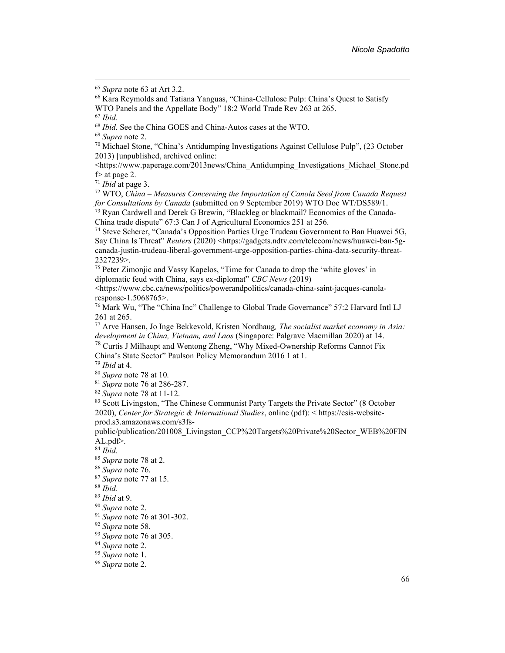<sup>66</sup> Kara Reymolds and Tatiana Yanguas, "China-Cellulose Pulp: China's Quest to Satisfy WTO Panels and the Appellate Body" 18:2 World Trade Rev 263 at 265.

<sup>68</sup> Ibid. See the China GOES and China-Autos cases at the WTO.

<sup>70</sup> Michael Stone, "China's Antidumping Investigations Against Cellulose Pulp", (23 October 2013) [unpublished, archived online:

<https://www.paperage.com/2013news/China\_Antidumping\_Investigations\_Michael\_Stone.pd f> at page 2.

 $71$  *Ibid* at page 3.

 $72$  WTO, China – Measures Concerning the Importation of Canola Seed from Canada Request for Consultations by Canada (submitted on 9 September 2019) WTO Doc WT/DS589/1.

73 Ryan Cardwell and Derek G Brewin, "Blackleg or blackmail? Economics of the Canada-China trade dispute" 67:3 Can J of Agricultural Economics 251 at 256.

<sup>74</sup> Steve Scherer, "Canada's Opposition Parties Urge Trudeau Government to Ban Huawei 5G, Say China Is Threat" Reuters (2020) <https://gadgets.ndtv.com/telecom/news/huawei-ban-5gcanada-justin-trudeau-liberal-government-urge-opposition-parties-china-data-security-threat-2327239>.

<sup>75</sup> Peter Zimonjic and Vassy Kapelos, "Time for Canada to drop the 'white gloves' in diplomatic feud with China, says ex-diplomat" CBC News (2019)

<https://www.cbc.ca/news/politics/powerandpolitics/canada-china-saint-jacques-canolaresponse-1.5068765>.

<sup>76</sup> Mark Wu, "The "China Inc" Challenge to Global Trade Governance" 57:2 Harvard Intl LJ 261 at 265.

 $77$  Arve Hansen, Jo Inge Bekkevold, Kristen Nordhaug, The socialist market economy in Asia: development in China, Vietnam, and Laos (Singapore: Palgrave Macmillan 2020) at 14.

<sup>78</sup> Curtis J Milhaupt and Wentong Zheng, "Why Mixed-Ownership Reforms Cannot Fix China's State Sector" Paulson Policy Memorandum 2016 1 at 1.

 $79$  *Ibid* at 4.

<sup>80</sup> Supra note 78 at 10.

 $81$  Supra note 76 at 286-287.

 $82$  Supra note 78 at 11-12.

<sup>83</sup> Scott Livingston, "The Chinese Communist Party Targets the Private Sector" (8 October 2020), Center for Strategic & International Studies, online (pdf): < https://csis-websiteprod.s3.amazonaws.com/s3fs-

public/publication/201008\_Livingston\_CCP%20Targets%20Private%20Sector\_WEB%20FIN AL.pdf>.

 $84$  *Ibid.* 

<sup>85</sup> Supra note 78 at 2.

 $87$  Supra note 77 at 15.

<sup>89</sup> Ibid at 9.

<sup>91</sup> Supra note 76 at 301-302.

 $93$  Supra note 76 at 305.

<sup>94</sup> Supra note 2.

 $95$  Supra note 1.

<sup>96</sup> Supra note 2.

<sup>65</sup> Supra note 63 at Art 3.2.

 $67$  Ibid.

<sup>69</sup> Supra note 2.

<sup>86</sup> Supra note 76.

 $88$  *Ibid.* 

<sup>90</sup> Supra note 2.

<sup>&</sup>lt;sup>92</sup> Supra note 58.